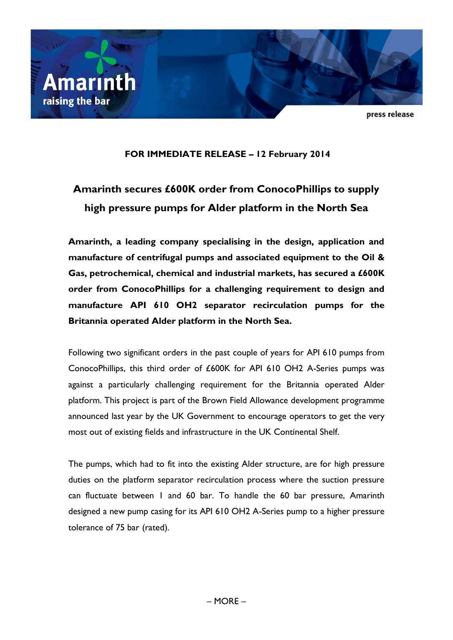

press release

## **FOR IMMEDIATE RELEASE – 12 February 2014**

# **Amarinth secures £600K order from ConocoPhillips to supply high pressure pumps for Alder platform in the North Sea**

**Amarinth, a leading company specialising in the design, application and manufacture of centrifugal pumps and associated equipment to the Oil & Gas, petrochemical, chemical and industrial markets, has secured a £600K order from ConocoPhillips for a challenging requirement to design and manufacture API 610 OH2 separator recirculation pumps for the Britannia operated Alder platform in the North Sea.**

Following two significant orders in the past couple of years for API 610 pumps from ConocoPhillips, this third order of £600K for API 610 OH2 A-Series pumps was against a particularly challenging requirement for the Britannia operated Alder platform. This project is part of the Brown Field Allowance development programme announced last year by the UK Government to encourage operators to get the very most out of existing fields and infrastructure in the UK Continental Shelf.

The pumps, which had to fit into the existing Alder structure, are for high pressure duties on the platform separator recirculation process where the suction pressure can fluctuate between 1 and 60 bar. To handle the 60 bar pressure, Amarinth designed a new pump casing for its API 610 OH2 A-Series pump to a higher pressure tolerance of 75 bar (rated).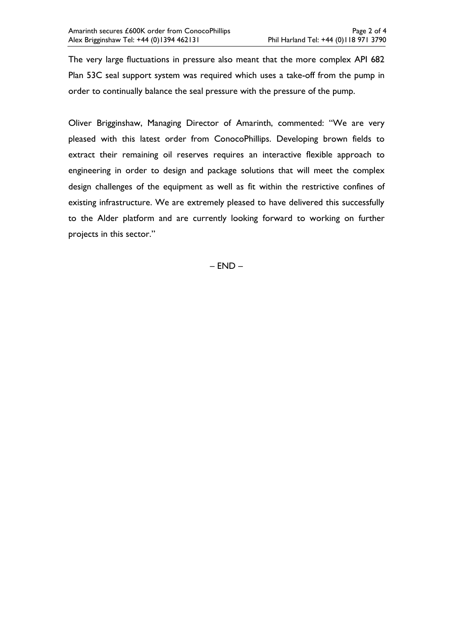The very large fluctuations in pressure also meant that the more complex API 682 Plan 53C seal support system was required which uses a take-off from the pump in order to continually balance the seal pressure with the pressure of the pump.

Oliver Brigginshaw, Managing Director of Amarinth, commented: "We are very pleased with this latest order from ConocoPhillips. Developing brown fields to extract their remaining oil reserves requires an interactive flexible approach to engineering in order to design and package solutions that will meet the complex design challenges of the equipment as well as fit within the restrictive confines of existing infrastructure. We are extremely pleased to have delivered this successfully to the Alder platform and are currently looking forward to working on further projects in this sector."

– END –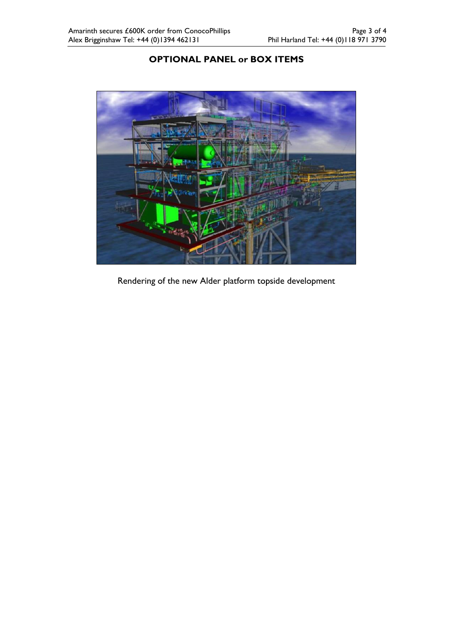# **OPTIONAL PANEL or BOX ITEMS**



Rendering of the new Alder platform topside development